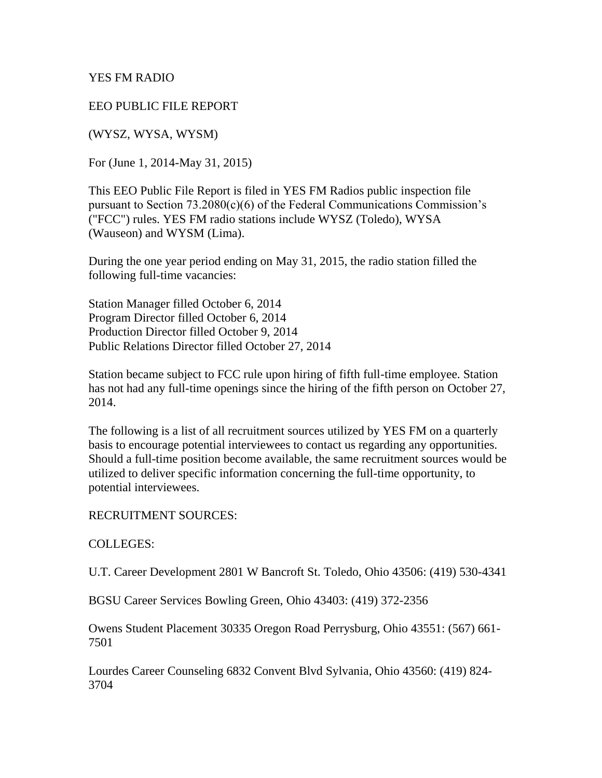YES FM RADIO

EEO PUBLIC FILE REPORT

(WYSZ, WYSA, WYSM)

For (June 1, 2014-May 31, 2015)

This EEO Public File Report is filed in YES FM Radios public inspection file pursuant to Section 73.2080(c)(6) of the Federal Communications Commission's ("FCC") rules. YES FM radio stations include WYSZ (Toledo), WYSA (Wauseon) and WYSM (Lima).

During the one year period ending on May 31, 2015, the radio station filled the following full-time vacancies:

Station Manager filled October 6, 2014 Program Director filled October 6, 2014 Production Director filled October 9, 2014 Public Relations Director filled October 27, 2014

Station became subject to FCC rule upon hiring of fifth full-time employee. Station has not had any full-time openings since the hiring of the fifth person on October 27, 2014.

The following is a list of all recruitment sources utilized by YES FM on a quarterly basis to encourage potential interviewees to contact us regarding any opportunities. Should a full-time position become available, the same recruitment sources would be utilized to deliver specific information concerning the full-time opportunity, to potential interviewees.

RECRUITMENT SOURCES:

COLLEGES:

U.T. Career Development 2801 W Bancroft St. Toledo, Ohio 43506: (419) 530-4341

BGSU Career Services Bowling Green, Ohio 43403: (419) 372-2356

Owens Student Placement 30335 Oregon Road Perrysburg, Ohio 43551: (567) 661- 7501

Lourdes Career Counseling 6832 Convent Blvd Sylvania, Ohio 43560: (419) 824- 3704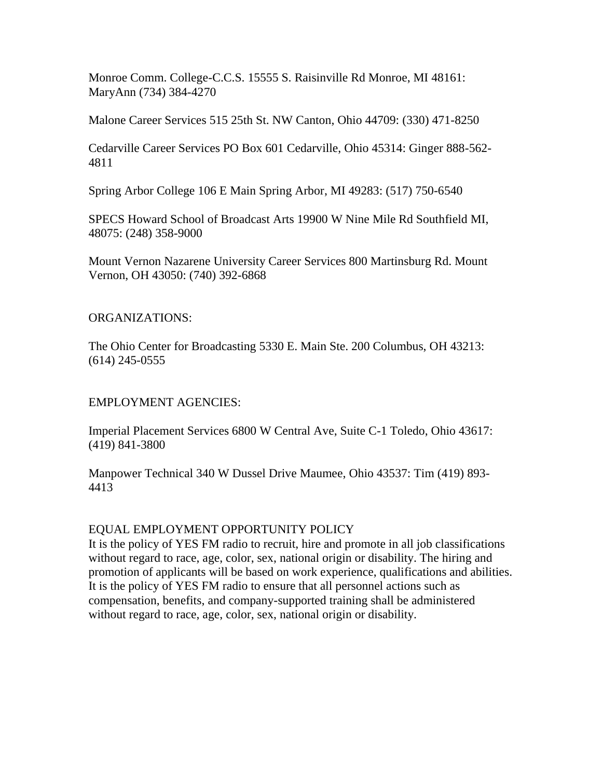Monroe Comm. College-C.C.S. 15555 S. Raisinville Rd Monroe, MI 48161: MaryAnn (734) 384-4270

Malone Career Services 515 25th St. NW Canton, Ohio 44709: (330) 471-8250

Cedarville Career Services PO Box 601 Cedarville, Ohio 45314: Ginger 888-562- 4811

Spring Arbor College 106 E Main Spring Arbor, MI 49283: (517) 750-6540

SPECS Howard School of Broadcast Arts 19900 W Nine Mile Rd Southfield MI, 48075: (248) 358-9000

Mount Vernon Nazarene University Career Services 800 Martinsburg Rd. Mount Vernon, OH 43050: (740) 392-6868

## ORGANIZATIONS:

The Ohio Center for Broadcasting 5330 E. Main Ste. 200 Columbus, OH 43213: (614) 245-0555

## EMPLOYMENT AGENCIES:

Imperial Placement Services 6800 W Central Ave, Suite C-1 Toledo, Ohio 43617: (419) 841-3800

Manpower Technical 340 W Dussel Drive Maumee, Ohio 43537: Tim (419) 893- 4413

## EQUAL EMPLOYMENT OPPORTUNITY POLICY

It is the policy of YES FM radio to recruit, hire and promote in all job classifications without regard to race, age, color, sex, national origin or disability. The hiring and promotion of applicants will be based on work experience, qualifications and abilities. It is the policy of YES FM radio to ensure that all personnel actions such as compensation, benefits, and company-supported training shall be administered without regard to race, age, color, sex, national origin or disability.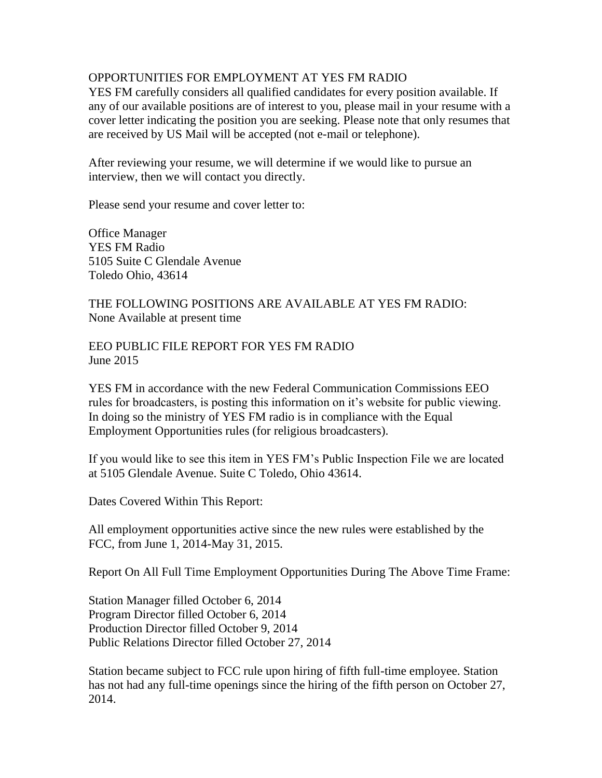## OPPORTUNITIES FOR EMPLOYMENT AT YES FM RADIO

YES FM carefully considers all qualified candidates for every position available. If any of our available positions are of interest to you, please mail in your resume with a cover letter indicating the position you are seeking. Please note that only resumes that are received by US Mail will be accepted (not e-mail or telephone).

After reviewing your resume, we will determine if we would like to pursue an interview, then we will contact you directly.

Please send your resume and cover letter to:

Office Manager YES FM Radio 5105 Suite C Glendale Avenue Toledo Ohio, 43614

THE FOLLOWING POSITIONS ARE AVAILABLE AT YES FM RADIO: None Available at present time

EEO PUBLIC FILE REPORT FOR YES FM RADIO June 2015

YES FM in accordance with the new Federal Communication Commissions EEO rules for broadcasters, is posting this information on it's website for public viewing. In doing so the ministry of YES FM radio is in compliance with the Equal Employment Opportunities rules (for religious broadcasters).

If you would like to see this item in YES FM's Public Inspection File we are located at 5105 Glendale Avenue. Suite C Toledo, Ohio 43614.

Dates Covered Within This Report:

All employment opportunities active since the new rules were established by the FCC, from June 1, 2014-May 31, 2015.

Report On All Full Time Employment Opportunities During The Above Time Frame:

Station Manager filled October 6, 2014 Program Director filled October 6, 2014 Production Director filled October 9, 2014 Public Relations Director filled October 27, 2014

Station became subject to FCC rule upon hiring of fifth full-time employee. Station has not had any full-time openings since the hiring of the fifth person on October 27, 2014.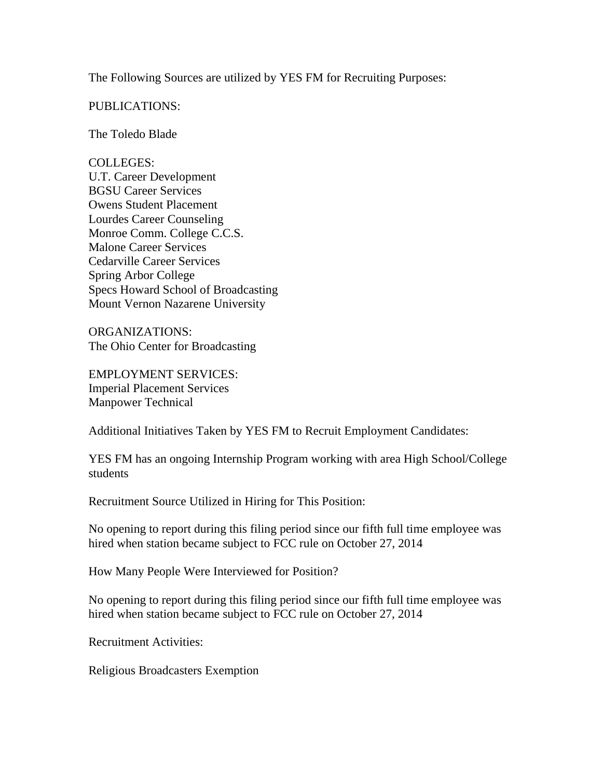The Following Sources are utilized by YES FM for Recruiting Purposes:

PUBLICATIONS:

The Toledo Blade

COLLEGES: U.T. Career Development BGSU Career Services Owens Student Placement Lourdes Career Counseling Monroe Comm. College C.C.S. Malone Career Services Cedarville Career Services Spring Arbor College Specs Howard School of Broadcasting Mount Vernon Nazarene University

ORGANIZATIONS: The Ohio Center for Broadcasting

EMPLOYMENT SERVICES: Imperial Placement Services Manpower Technical

Additional Initiatives Taken by YES FM to Recruit Employment Candidates:

YES FM has an ongoing Internship Program working with area High School/College students

Recruitment Source Utilized in Hiring for This Position:

No opening to report during this filing period since our fifth full time employee was hired when station became subject to FCC rule on October 27, 2014

How Many People Were Interviewed for Position?

No opening to report during this filing period since our fifth full time employee was hired when station became subject to FCC rule on October 27, 2014

Recruitment Activities:

Religious Broadcasters Exemption